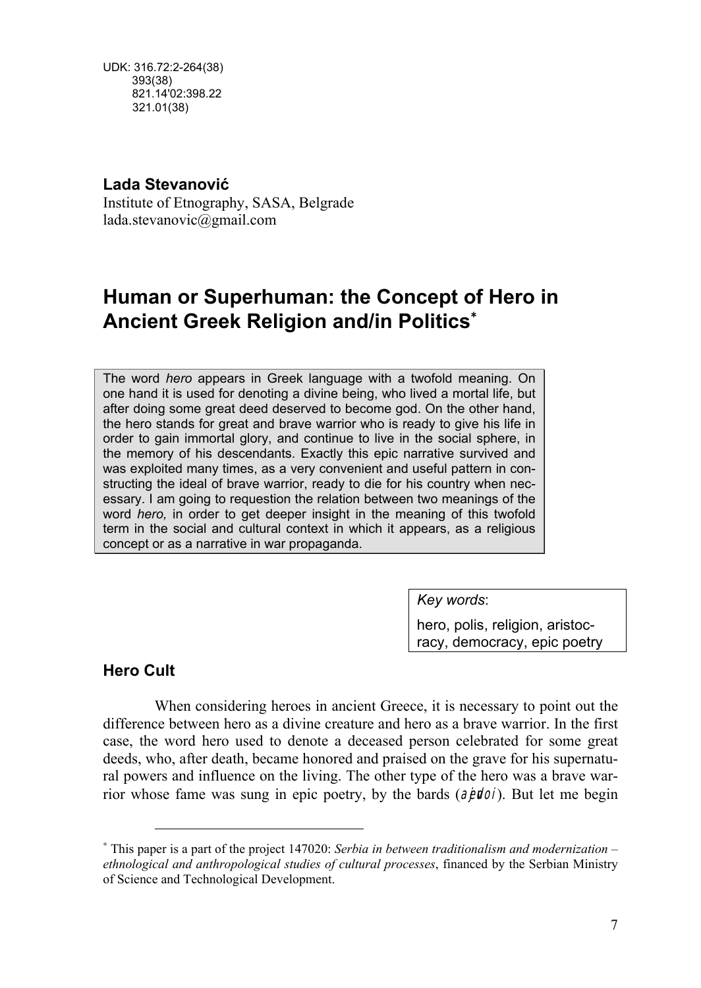UDK: 316.72:2-264(38) 393(38) 821.14'02:398.22 321.01(38)

## **Lada Stevanović**

Institute of Etnography, SASA, Belgrade lada.stevanovic@gmail.com

# **Human or Superhuman: the Concept of Hero in Ancient Greek Religion and/in Politics**<sup>∗</sup>

The word *hero* appears in Greek language with a twofold meaning. On one hand it is used for denoting a divine being, who lived a mortal life, but after doing some great deed deserved to become god. On the other hand, the hero stands for great and brave warrior who is ready to give his life in order to gain immortal glory, and continue to live in the social sphere, in the memory of his descendants. Exactly this epic narrative survived and was exploited many times, as a very convenient and useful pattern in constructing the ideal of brave warrior, ready to die for his country when necessary. I am going to requestion the relation between two meanings of the word *hero,* in order to get deeper insight in the meaning of this twofold term in the social and cultural context in which it appears, as a religious concept or as a narrative in war propaganda.

*Key words*:

hero, polis, religion, aristocracy, democracy, epic poetry

## **Hero Cult**

 $\overline{a}$ 

When considering heroes in ancient Greece, it is necessary to point out the difference between hero as a divine creature and hero as a brave warrior. In the first case, the word hero used to denote a deceased person celebrated for some great deeds, who, after death, became honored and praised on the grave for his supernatural powers and influence on the living. The other type of the hero was a brave warrior whose fame was sung in epic poetry, by the bards  $(a$ *jevon*). But let me begin

<sup>∗</sup> This paper is a part of the project 147020: *Serbia in between traditionalism and modernization – ethnological and anthropological studies of cultural processes*, financed by the Serbian Ministry of Science and Technological Development.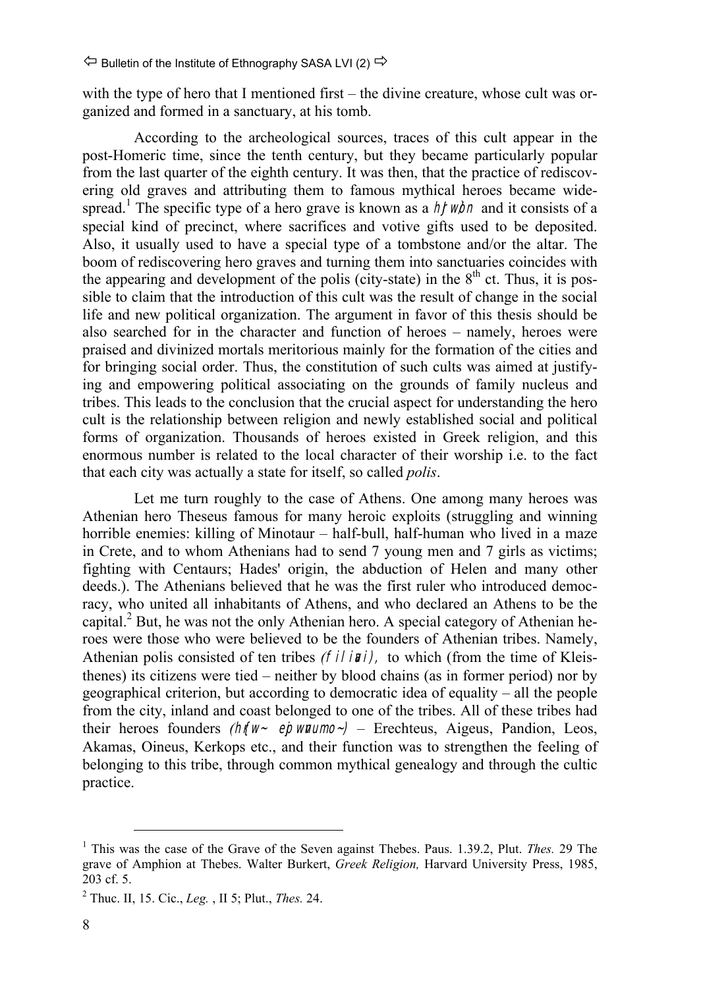with the type of hero that I mentioned first – the divine creature, whose cult was organized and formed in a sanctuary, at his tomb.

According to the archeological sources, traces of this cult appear in the post-Homeric time, since the tenth century, but they became particularly popular from the last quarter of the eighth century. It was then, that the practice of rediscovering old graves and attributing them to famous mythical heroes became widespread.<sup>1</sup> The specific type of a hero grave is known as a  $h$ *rwon* and it consists of a special kind of precinct, where sacrifices and votive gifts used to be deposited. Also, it usually used to have a special type of a tombstone and/or the altar. The boom of rediscovering hero graves and turning them into sanctuaries coincides with the appearing and development of the polis (city-state) in the  $8<sup>th</sup>$  ct. Thus, it is possible to claim that the introduction of this cult was the result of change in the social life and new political organization. The argument in favor of this thesis should be also searched for in the character and function of heroes – namely, heroes were praised and divinized mortals meritorious mainly for the formation of the cities and for bringing social order. Thus, the constitution of such cults was aimed at justifying and empowering political associating on the grounds of family nucleus and tribes. This leads to the conclusion that the crucial aspect for understanding the hero cult is the relationship between religion and newly established social and political forms of organization. Thousands of heroes existed in Greek religion, and this enormous number is related to the local character of their worship i.e. to the fact that each city was actually a state for itself, so called *polis*.

Let me turn roughly to the case of Athens. One among many heroes was Athenian hero Theseus famous for many heroic exploits (struggling and winning horrible enemies: killing of Minotaur – half-bull, half-human who lived in a maze in Crete, and to whom Athenians had to send 7 young men and 7 girls as victims; fighting with Centaurs; Hades' origin, the abduction of Helen and many other deeds.). The Athenians believed that he was the first ruler who introduced democracy, who united all inhabitants of Athens, and who declared an Athens to be the capital. ${}^{2}$  But, he was not the only Athenian hero. A special category of Athenian heroes were those who were believed to be the founders of Athenian tribes. Namely, Athenian polis consisted of ten tribes *(filini)*, to which (from the time of Kleisthenes) its citizens were tied – neither by blood chains (as in former period) nor by geographical criterion, but according to democratic idea of equality – all the people from the city, inland and coast belonged to one of the tribes. All of these tribes had their heroes founders *(htw- epwnumo-)* – Erechteus, Aigeus, Pandion, Leos, Akamas, Oineus, Kerkops etc., and their function was to strengthen the feeling of belonging to this tribe, through common mythical genealogy and through the cultic practice.

 <sup>1</sup> This was the case of the Grave of the Seven against Thebes. Paus. 1.39.2, Plut. *Thes.* 29 The grave of Amphion at Thebes. Walter Burkert, *Greek Religion,* Harvard University Press, 1985, 203 cf. 5.

<sup>2</sup> Thuc. II, 15. Cic., *Leg.* , II 5; Plut., *Thes.* 24.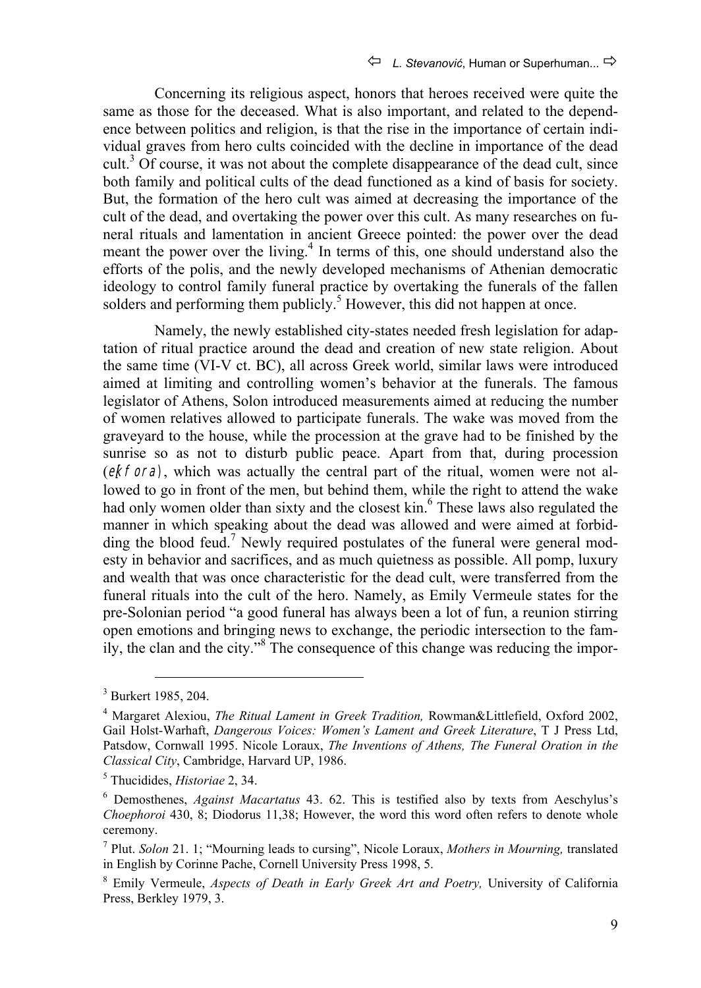Concerning its religious aspect, honors that heroes received were quite the same as those for the deceased. What is also important, and related to the dependence between politics and religion, is that the rise in the importance of certain individual graves from hero cults coincided with the decline in importance of the dead cult.<sup>3</sup> Of course, it was not about the complete disappearance of the dead cult, since both family and political cults of the dead functioned as a kind of basis for society. But, the formation of the hero cult was aimed at decreasing the importance of the cult of the dead, and overtaking the power over this cult. As many researches on funeral rituals and lamentation in ancient Greece pointed: the power over the dead meant the power over the living.<sup>4</sup> In terms of this, one should understand also the efforts of the polis, and the newly developed mechanisms of Athenian democratic ideology to control family funeral practice by overtaking the funerals of the fallen solders and performing them publicly.<sup>5</sup> However, this did not happen at once.

Namely, the newly established city-states needed fresh legislation for adaptation of ritual practice around the dead and creation of new state religion. About the same time (VI-V ct. BC), all across Greek world, similar laws were introduced aimed at limiting and controlling women's behavior at the funerals. The famous legislator of Athens, Solon introduced measurements aimed at reducing the number of women relatives allowed to participate funerals. The wake was moved from the graveyard to the house, while the procession at the grave had to be finished by the sunrise so as not to disturb public peace. Apart from that, during procession (**ekfora**), which was actually the central part of the ritual, women were not allowed to go in front of the men, but behind them, while the right to attend the wake had only women older than sixty and the closest kin.<sup>6</sup> These laws also regulated the manner in which speaking about the dead was allowed and were aimed at forbidding the blood feud.<sup>7</sup> Newly required postulates of the funeral were general modesty in behavior and sacrifices, and as much quietness as possible. All pomp, luxury and wealth that was once characteristic for the dead cult, were transferred from the funeral rituals into the cult of the hero. Namely, as Emily Vermeule states for the pre-Solonian period "a good funeral has always been a lot of fun, a reunion stirring open emotions and bringing news to exchange, the periodic intersection to the family, the clan and the city."8 The consequence of this change was reducing the impor-

 <sup>3</sup> Burkert 1985, 204.

<sup>4</sup> Margaret Alexiou, *The Ritual Lament in Greek Tradition,* Rowman&Littlefield, Oxford 2002, Gail Holst-Warhaft, *Dangerous Voices: Women's Lament and Greek Literature*, T J Press Ltd, Patsdow, Cornwall 1995. Nicole Loraux, *The Inventions of Athens, The Funeral Oration in the Classical City*, Cambridge, Harvard UP, 1986.

<sup>5</sup> Thucidides, *Historiae* 2, 34.

<sup>6</sup> Demosthenes, *Against Macartatus* 43. 62. This is testified also by texts from Aeschylus's *Choephoroi* 430, 8; Diodorus 11,38; However, the word this word often refers to denote whole ceremony.

<sup>7</sup> Plut. *Solon* 21. 1; "Mourning leads to cursing", Nicole Loraux, *Mothers in Mourning,* translated in English by Corinne Pache, Cornell University Press 1998, 5.

<sup>8</sup> Emily Vermeule, *Aspects of Death in Early Greek Art and Poetry,* University of California Press, Berkley 1979, 3.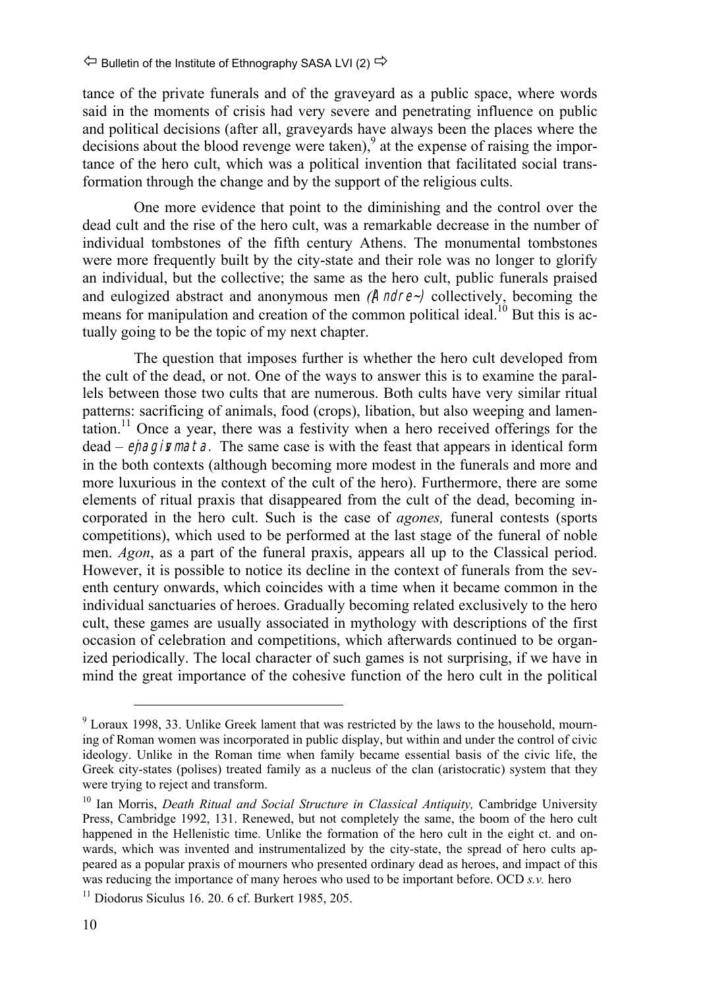tance of the private funerals and of the graveyard as a public space, where words said in the moments of crisis had very severe and penetrating influence on public and political decisions (after all, graveyards have always been the places where the  $\alpha$  decisions about the blood revenge were taken),  $\alpha$  at the expense of raising the importance of the hero cult, which was a political invention that facilitated social transformation through the change and by the support of the religious cults.

One more evidence that point to the diminishing and the control over the dead cult and the rise of the hero cult, was a remarkable decrease in the number of individual tombstones of the fifth century Athens. The monumental tombstones were more frequently built by the city-state and their role was no longer to glorify an individual, but the collective; the same as the hero cult, public funerals praised and eulogized abstract and anonymous men *(Andre~)* collectively, becoming the means for manipulation and creation of the common political ideal.<sup>10</sup> But this is actually going to be the topic of my next chapter.

The question that imposes further is whether the hero cult developed from the cult of the dead, or not. One of the ways to answer this is to examine the parallels between those two cults that are numerous. Both cults have very similar ritual patterns: sacrificing of animals, food (crops), libation, but also weeping and lamentation.11 Once a year, there was a festivity when a hero received offerings for the dead – **epagismata**. The same case is with the feast that appears in identical form in the both contexts (although becoming more modest in the funerals and more and more luxurious in the context of the cult of the hero). Furthermore, there are some elements of ritual praxis that disappeared from the cult of the dead, becoming incorporated in the hero cult. Such is the case of *agones,* funeral contests (sports competitions), which used to be performed at the last stage of the funeral of noble men. *Agon*, as a part of the funeral praxis, appears all up to the Classical period. However, it is possible to notice its decline in the context of funerals from the seventh century onwards, which coincides with a time when it became common in the individual sanctuaries of heroes. Gradually becoming related exclusively to the hero cult, these games are usually associated in mythology with descriptions of the first occasion of celebration and competitions, which afterwards continued to be organized periodically. The local character of such games is not surprising, if we have in mind the great importance of the cohesive function of the hero cult in the political

<sup>&</sup>lt;sup>9</sup> Loraux 1998, 33. Unlike Greek lament that was restricted by the laws to the household, mourning of Roman women was incorporated in public display, but within and under the control of civic ideology. Unlike in the Roman time when family became essential basis of the civic life, the Greek city-states (polises) treated family as a nucleus of the clan (aristocratic) system that they were trying to reject and transform.

<sup>&</sup>lt;sup>10</sup> Ian Morris, *Death Ritual and Social Structure in Classical Antiquity*, Cambridge University Press, Cambridge 1992, 131. Renewed, but not completely the same, the boom of the hero cult happened in the Hellenistic time. Unlike the formation of the hero cult in the eight ct. and onwards, which was invented and instrumentalized by the city-state, the spread of hero cults appeared as a popular praxis of mourners who presented ordinary dead as heroes, and impact of this was reducing the importance of many heroes who used to be important before. OCD *s.v.* hero

 $11$  Diodorus Siculus 16, 20, 6 cf. Burkert 1985, 205.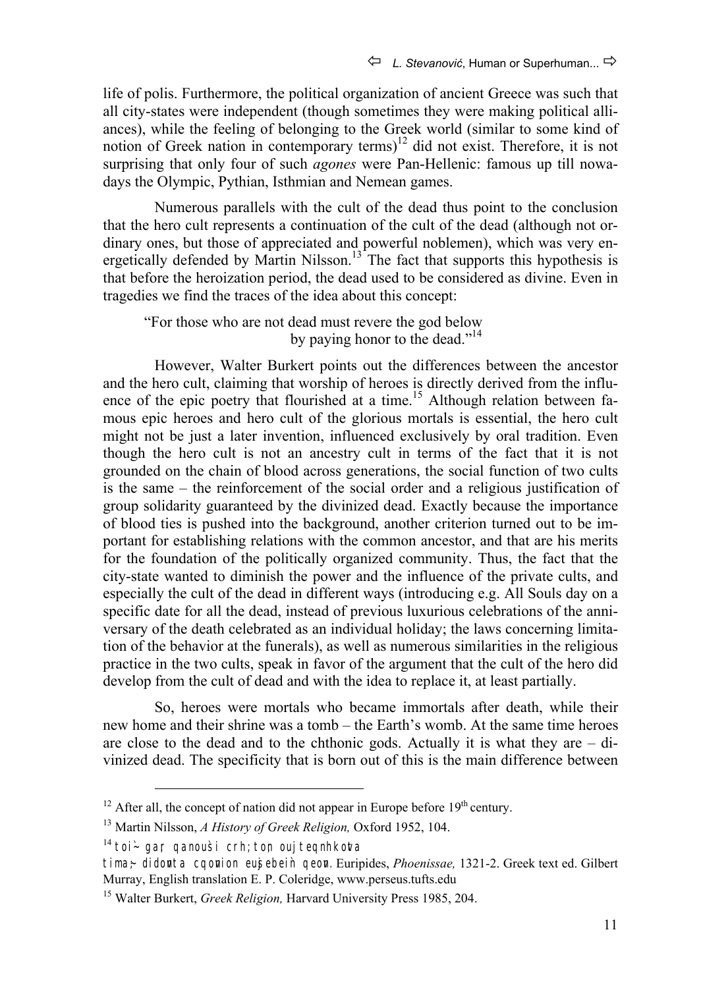life of polis. Furthermore, the political organization of ancient Greece was such that all city-states were independent (though sometimes they were making political alliances), while the feeling of belonging to the Greek world (similar to some kind of notion of Greek nation in contemporary terms)<sup>12</sup> did not exist. Therefore, it is not surprising that only four of such *agones* were Pan-Hellenic: famous up till nowadays the Olympic, Pythian, Isthmian and Nemean games.

Numerous parallels with the cult of the dead thus point to the conclusion that the hero cult represents a continuation of the cult of the dead (although not ordinary ones, but those of appreciated and powerful noblemen), which was very energetically defended by Martin Nilsson.<sup>13</sup> The fact that supports this hypothesis is that before the heroization period, the dead used to be considered as divine. Even in tragedies we find the traces of the idea about this concept:

"For those who are not dead must revere the god below by paying honor to the dead."<sup>14</sup>

However, Walter Burkert points out the differences between the ancestor and the hero cult, claiming that worship of heroes is directly derived from the influence of the epic poetry that flourished at a time.<sup>15</sup> Although relation between famous epic heroes and hero cult of the glorious mortals is essential, the hero cult might not be just a later invention, influenced exclusively by oral tradition. Even though the hero cult is not an ancestry cult in terms of the fact that it is not grounded on the chain of blood across generations, the social function of two cults is the same – the reinforcement of the social order and a religious justification of group solidarity guaranteed by the divinized dead. Exactly because the importance of blood ties is pushed into the background, another criterion turned out to be important for establishing relations with the common ancestor, and that are his merits for the foundation of the politically organized community. Thus, the fact that the city-state wanted to diminish the power and the influence of the private cults, and especially the cult of the dead in different ways (introducing e.g. All Souls day on a specific date for all the dead, instead of previous luxurious celebrations of the anniversary of the death celebrated as an individual holiday; the laws concerning limitation of the behavior at the funerals), as well as numerous similarities in the religious practice in the two cults, speak in favor of the argument that the cult of the hero did develop from the cult of dead and with the idea to replace it, at least partially.

So, heroes were mortals who became immortals after death, while their new home and their shrine was a tomb – the Earth's womb. At the same time heroes are close to the dead and to the chthonic gods. Actually it is what they are  $-$  divinized dead. The specificity that is born out of this is the main difference between

 $14$  toi- gar qanousi crh; ton ouj teqnhkota

 $12$  After all, the concept of nation did not appear in Europe before 19<sup>th</sup> century.

<sup>13</sup> Martin Nilssоn, *A History of Greek Religion,* Oxford 1952, 104.

tima;~ didonta cqonion eujsebein qeon. Euripides, *Phoenissae*, 1321-2. Greek text ed. Gilbert Murray, English translation E. P. Coleridge, www.perseus.tufts.edu

<sup>&</sup>lt;sup>15</sup> Walter Burkert, *Greek Religion*, Harvard University Press 1985, 204.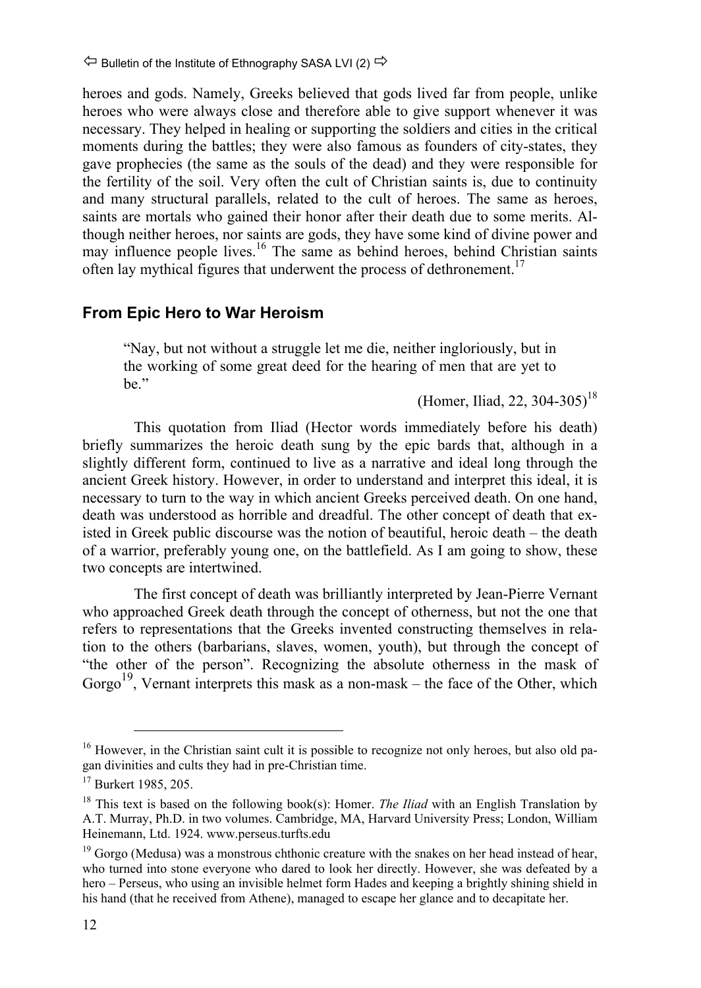heroes and gods. Namely, Greeks believed that gods lived far from people, unlike heroes who were always close and therefore able to give support whenever it was necessary. They helped in healing or supporting the soldiers and cities in the critical moments during the battles; they were also famous as founders of city-states, they gave prophecies (the same as the souls of the dead) and they were responsible for the fertility of the soil. Very often the cult of Christian saints is, due to continuity and many structural parallels, related to the cult of heroes. The same as heroes, saints are mortals who gained their honor after their death due to some merits. Although neither heroes, nor saints are gods, they have some kind of divine power and may influence people lives.<sup>16</sup> The same as behind heroes, behind Christian saints often lay mythical figures that underwent the process of dethronement.<sup>17</sup>

## **From Epic Hero to War Heroism**

"Nay, but not without a struggle let me die, neither ingloriously, but in the working of some great deed for the hearing of men that are yet to be."

(Homer, Iliad, 22, 304-305)<sup>18</sup>

This quotation from Iliad (Hector words immediately before his death) briefly summarizes the heroic death sung by the epic bards that, although in a slightly different form, continued to live as a narrative and ideal long through the ancient Greek history. However, in order to understand and interpret this ideal, it is necessary to turn to the way in which ancient Greeks perceived death. On one hand, death was understood as horrible and dreadful. The other concept of death that existed in Greek public discourse was the notion of beautiful, heroic death – the death of a warrior, preferably young one, on the battlefield. As I am going to show, these two concepts are intertwined.

The first concept of death was brilliantly interpreted by Jean-Pierre Vernant who approached Greek death through the concept of otherness, but not the one that refers to representations that the Greeks invented constructing themselves in relation to the others (barbarians, slaves, women, youth), but through the concept of "the other of the person". Recognizing the absolute otherness in the mask of Gorgo<sup>19</sup>. Vernant interprets this mask as a non-mask – the face of the Other, which

<sup>&</sup>lt;sup>16</sup> However, in the Christian saint cult it is possible to recognize not only heroes, but also old pagan divinities and cults they had in pre-Christian time.

<sup>&</sup>lt;sup>17</sup> Burkert 1985, 205.

<sup>&</sup>lt;sup>18</sup> This text is based on the following book(s): Homer. *The Iliad* with an English Translation by A.T. Murray, Ph.D. in two volumes. Cambridge, MA, Harvard University Press; London, William Heinemann, Ltd. 1924. www.perseus.turfts.edu

 $19$  Gorgo (Medusa) was a monstrous chthonic creature with the snakes on her head instead of hear. who turned into stone everyone who dared to look her directly. However, she was defeated by a hero – Perseus, who using an invisible helmet form Hades and keeping a brightly shining shield in his hand (that he received from Athene), managed to escape her glance and to decapitate her.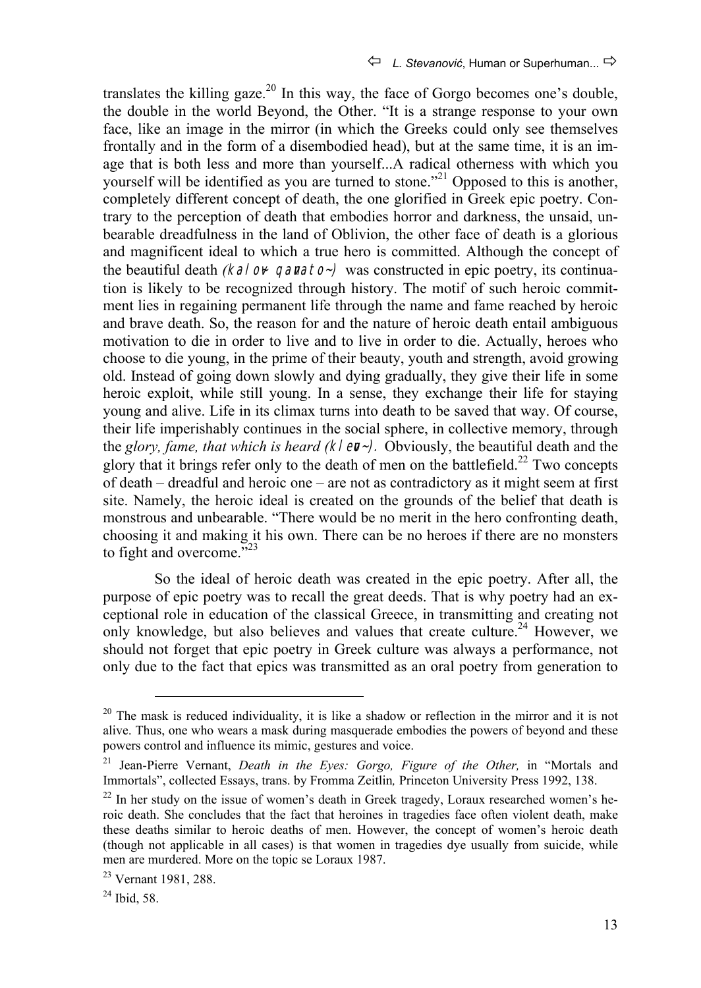translates the killing gaze.<sup>20</sup> In this way, the face of Gorgo becomes one's double, the double in the world Beyond, the Other. "It is a strange response to your own face, like an image in the mirror (in which the Greeks could only see themselves frontally and in the form of a disembodied head), but at the same time, it is an image that is both less and more than yourself...A radical otherness with which you yourself will be identified as you are turned to stone."<sup>21</sup> Opposed to this is another, completely different concept of death, the one glorified in Greek epic poetry. Contrary to the perception of death that embodies horror and darkness, the unsaid, unbearable dreadfulness in the land of Oblivion, the other face of death is a glorious and magnificent ideal to which a true hero is committed. Although the concept of the beautiful death *(kalov-qanato-)* was constructed in epic poetry, its continuation is likely to be recognized through history. The motif of such heroic commitment lies in regaining permanent life through the name and fame reached by heroic and brave death. So, the reason for and the nature of heroic death entail ambiguous motivation to die in order to live and to live in order to die. Actually, heroes who choose to die young, in the prime of their beauty, youth and strength, avoid growing old. Instead of going down slowly and dying gradually, they give their life in some heroic exploit, while still young. In a sense, they exchange their life for staying young and alive. Life in its climax turns into death to be saved that way. Of course, their life imperishably continues in the social sphere, in collective memory, through the *glory, fame, that which is heard (klev-*). Obviously, the beautiful death and the glory that it brings refer only to the death of men on the battlefield.<sup>22</sup> Two concepts of death – dreadful and heroic one – are not as contradictory as it might seem at first site. Namely, the heroic ideal is created on the grounds of the belief that death is monstrous and unbearable. "There would be no merit in the hero confronting death, choosing it and making it his own. There can be no heroes if there are no monsters to fight and overcome."<sup>23</sup>

So the ideal of heroic death was created in the epic poetry. After all, the purpose of epic poetry was to recall the great deeds. That is why poetry had an exceptional role in education of the classical Greece, in transmitting and creating not only knowledge, but also believes and values that create culture.<sup>24</sup> However, we should not forget that epic poetry in Greek culture was always a performance, not only due to the fact that epics was transmitted as an oral poetry from generation to

 $20$  The mask is reduced individuality, it is like a shadow or reflection in the mirror and it is not alive. Thus, one who wears a mask during masquerade embodies the powers of beyond and these powers control and influence its mimic, gestures and voice.

<sup>21</sup> Jean-Pierre Vernant, *Death in the Eyes: Gorgo, Figure of the Other,* in "Mortals and Immortals", collected Essays, trans. by Fromma Zeitlin*,* Princeton University Press 1992, 138.

 $22$  In her study on the issue of women's death in Greek tragedy, Loraux researched women's heroic death. She concludes that the fact that heroines in tragedies face often violent death, make these deaths similar to heroic deaths of men. However, the concept of women's heroic death (though not applicable in all cases) is that women in tragedies dye usually from suicide, while men are murdered. More on the topic se Loraux 1987.

<sup>23</sup> Vernant 1981, 288.

 $24$  Ibid, 58.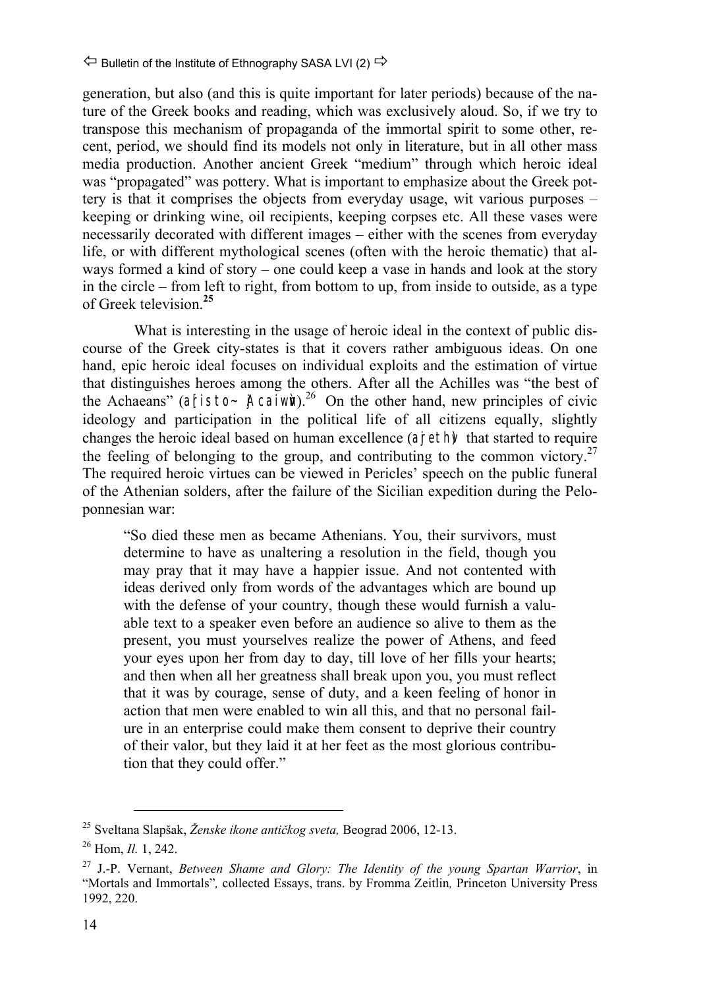generation, but also (and this is quite important for later periods) because of the nature of the Greek books and reading, which was exclusively aloud. So, if we try to transpose this mechanism of propaganda of the immortal spirit to some other, recent, period, we should find its models not only in literature, but in all other mass media production. Another ancient Greek "medium" through which heroic ideal was "propagated" was pottery. What is important to emphasize about the Greek pottery is that it comprises the objects from everyday usage, wit various purposes – keeping or drinking wine, oil recipients, keeping corpses etc. All these vases were necessarily decorated with different images – either with the scenes from everyday life, or with different mythological scenes (often with the heroic thematic) that always formed a kind of story – one could keep a vase in hands and look at the story in the circle – from left to right, from bottom to up, from inside to outside, as a type of Greek television.**<sup>25</sup>**

What is interesting in the usage of heroic ideal in the context of public discourse of the Greek city-states is that it covers rather ambiguous ideas. On one hand, epic heroic ideal focuses on individual exploits and the estimation of virtue that distinguishes heroes among the others. After all the Achilles was "the best of the Achaeans" (aristo~  $\beta$ caiwn).<sup>26</sup> On the other hand, new principles of civic ideology and participation in the political life of all citizens equally, slightly changes the heroic ideal based on human excellence  $(aireth)$  that started to require the feeling of belonging to the group, and contributing to the common victory.<sup>27</sup> The required heroic virtues can be viewed in Pericles' speech on the public funeral of the Athenian solders, after the failure of the Sicilian expedition during the Peloponnesian war:

"So died these men as became Athenians. You, their survivors, must determine to have as unaltering a resolution in the field, though you may pray that it may have a happier issue. And not contented with ideas derived only from words of the advantages which are bound up with the defense of your country, though these would furnish a valuable text to a speaker even before an audience so alive to them as the present, you must yourselves realize the power of Athens, and feed your eyes upon her from day to day, till love of her fills your hearts; and then when all her greatness shall break upon you, you must reflect that it was by courage, sense of duty, and a keen feeling of honor in action that men were enabled to win all this, and that no personal failure in an enterprise could make them consent to deprive their country of their valor, but they laid it at her feet as the most glorious contribution that they could offer."

 <sup>25</sup> Sveltana Slapšak, *Ženske ikone antičkog sveta,* Beograd 2006, 12-13.

<sup>26</sup> Hom, *Il.* 1, 242.

<sup>27</sup> J.-P. Vernant, *Between Shame and Glory: The Identity of the young Spartan Warrior*, in "Mortals and Immortals"*,* collected Essays, trans. by Fromma Zeitlin*,* Princeton University Press 1992, 220.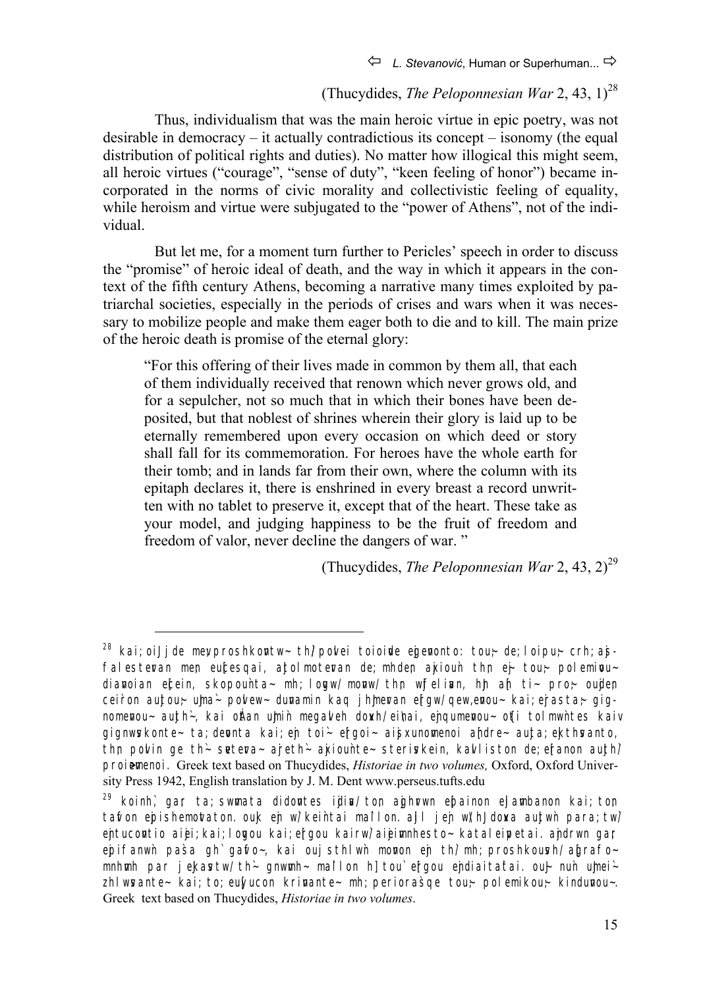## (Thucydides, *The Peloponnesian War* 2, 43,  $1$ )<sup>28</sup>

Thus, individualism that was the main heroic virtue in epic poetry, was not desirable in democracy – it actually contradictious its concept – isonomy (the equal distribution of political rights and duties). No matter how illogical this might seem, all heroic virtues ("courage", "sense of duty", "keen feeling of honor") became incorporated in the norms of civic morality and collectivistic feeling of equality, while heroism and virtue were subjugated to the "power of Athens", not of the individual.

But let me, for a moment turn further to Pericles' speech in order to discuss the "promise" of heroic ideal of death, and the way in which it appears in the context of the fifth century Athens, becoming a narrative many times exploited by patriarchal societies, especially in the periods of crises and wars when it was necessary to mobilize people and make them eager both to die and to kill. The main prize of the heroic death is promise of the eternal glory:

"For this offering of their lives made in common by them all, that each of them individually received that renown which never grows old, and for a sepulcher, not so much that in which their bones have been deposited, but that noblest of shrines wherein their glory is laid up to be eternally remembered upon every occasion on which deed or story shall fall for its commemoration. For heroes have the whole earth for their tomb; and in lands far from their own, where the column with its epitaph declares it, there is enshrined in every breast a record unwritten with no tablet to preserve it, except that of the heart. These take as your model, and judging happiness to be the fruit of freedom and freedom of valor, never decline the dangers of war. "

(Thucydides, *The Peloponnesian War* 2, 43, 2)<sup>29</sup>

 $\overline{a}$ 

<sup>&</sup>lt;sup>28</sup> kai; oiJ j de mey proshkontw~ th/ pol ei toioide egenonto: tou;~ de; loipu;~ crh; ajsfalesteran men eucesqai, ajtolmoteran de; mhden ajxioun thn ej- tou; polemioudianoian ecein, skopounta- mh; logw/ monw/ thn wjfelian, hh ah ti- pro- oujden ceiron aujtou;~ uma ~ polew - dunamin kaq j himeran ergw/ qew, enou ~ kai; erasta; qignomenou~ aujth~, kai oftan umin megaleh dowh/ eihai, enqumenou~ ofti tolmwhtes kaiv gignwskonte~ ta; depnta kai; en toi~ ergoi~ aisxunomenoi andre~ aujta; ekthsanto, thn polin ge th`~ setera~ areth`~ akiounte~ steriskein, kalliston de; eranon aujth' proiemenoi. Greek text based on Thucydides, *Historiae in two volumes*, Oxford, Oxford University Press 1942, English translation by J. M. Dent www.perseus.tufts.edu

 $29$  koinh, gar ta; swmata didontes ijdina/ ton ajghrwn epainon ejlambanon kai; ton tafon epishemotaton. ouk en w' keintai mallon. all j en w' hJ dowa aujtwn para; tw' entucontio aiei; kai; logou kai; ergou kairw' aieimnhesto~ kataleipetai. andrwn gar epifanwn pasa gh` garo~, kai ouj sthlwn monon en th' mh; proshkoush/ agrafo~ mnhmh par jekastw/th~ gnwmh~ mallon h] tou` ergou endiaitatai. oul nun umei $zhl$  wsante~ kai; to; eu $N$ ucon krinante~ mh; periorasqe tou $\sim$  polemikou $\sim$  kindunou~. Greek text based on Thucydides, *Historiae in two volumes*.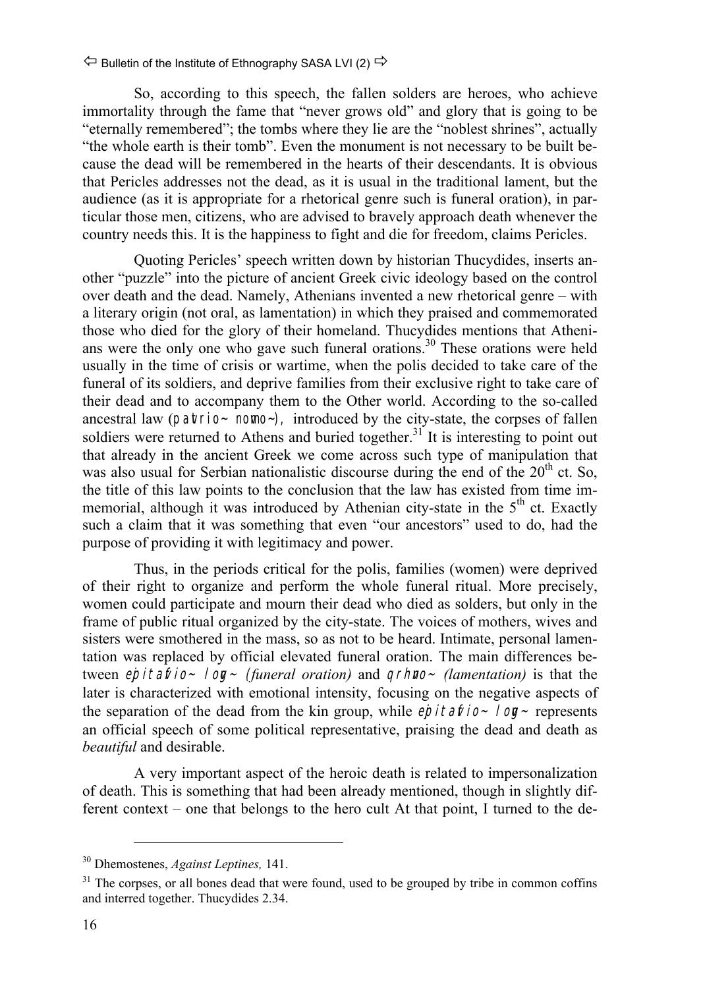So, according to this speech, the fallen solders are heroes, who achieve immortality through the fame that "never grows old" and glory that is going to be "eternally remembered"; the tombs where they lie are the "noblest shrines", actually "the whole earth is their tomb". Even the monument is not necessary to be built because the dead will be remembered in the hearts of their descendants. It is obvious that Pericles addresses not the dead, as it is usual in the traditional lament, but the audience (as it is appropriate for a rhetorical genre such is funeral oration), in particular those men, citizens, who are advised to bravely approach death whenever the country needs this. It is the happiness to fight and die for freedom, claims Pericles.

Quoting Pericles' speech written down by historian Thucydides, inserts another "puzzle" into the picture of ancient Greek civic ideology based on the control over death and the dead. Namely, Athenians invented a new rhetorical genre – with a literary origin (not oral, as lamentation) in which they praised and commemorated those who died for the glory of their homeland. Thucydides mentions that Athenians were the only one who gave such funeral orations.<sup>30</sup> These orations were held usually in the time of crisis or wartime, when the polis decided to take care of the funeral of its soldiers, and deprive families from their exclusive right to take care of their dead and to accompany them to the Other world. According to the so-called ancestral law ( $partio$  - nomo -), introduced by the city-state, the corpses of fallen soldiers were returned to Athens and buried together.<sup>31</sup> It is interesting to point out that already in the ancient Greek we come across such type of manipulation that was also usual for Serbian nationalistic discourse during the end of the  $20<sup>th</sup>$  ct. So, the title of this law points to the conclusion that the law has existed from time immemorial, although it was introduced by Athenian city-state in the  $5<sup>th</sup>$  ct. Exactly such a claim that it was something that even "our ancestors" used to do, had the purpose of providing it with legitimacy and power.

Thus, in the periods critical for the polis, families (women) were deprived of their right to organize and perform the whole funeral ritual. More precisely, women could participate and mourn their dead who died as solders, but only in the frame of public ritual organized by the city-state. The voices of mothers, wives and sisters were smothered in the mass, so as not to be heard. Intimate, personal lamentation was replaced by official elevated funeral oration. The main differences between *ejpitafio~ log~ (funeral oration)* and *grhno~ (lamentation)* is that the later is characterized with emotional intensity, focusing on the negative aspects of the separation of the dead from the kin group, while  $e$ *pitalio* - log-represents an official speech of some political representative, praising the dead and death as *beautiful* and desirable.

A very important aspect of the heroic death is related to impersonalization of death. This is something that had been already mentioned, though in slightly different context – one that belongs to the hero cult At that point, I turned to the de-

 $\overline{a}$ 

<sup>30</sup> Dhemostenes, *Against Leptines,* 141.

 $31$  The corpses, or all bones dead that were found, used to be grouped by tribe in common coffins and interred together. Thucydides 2.34.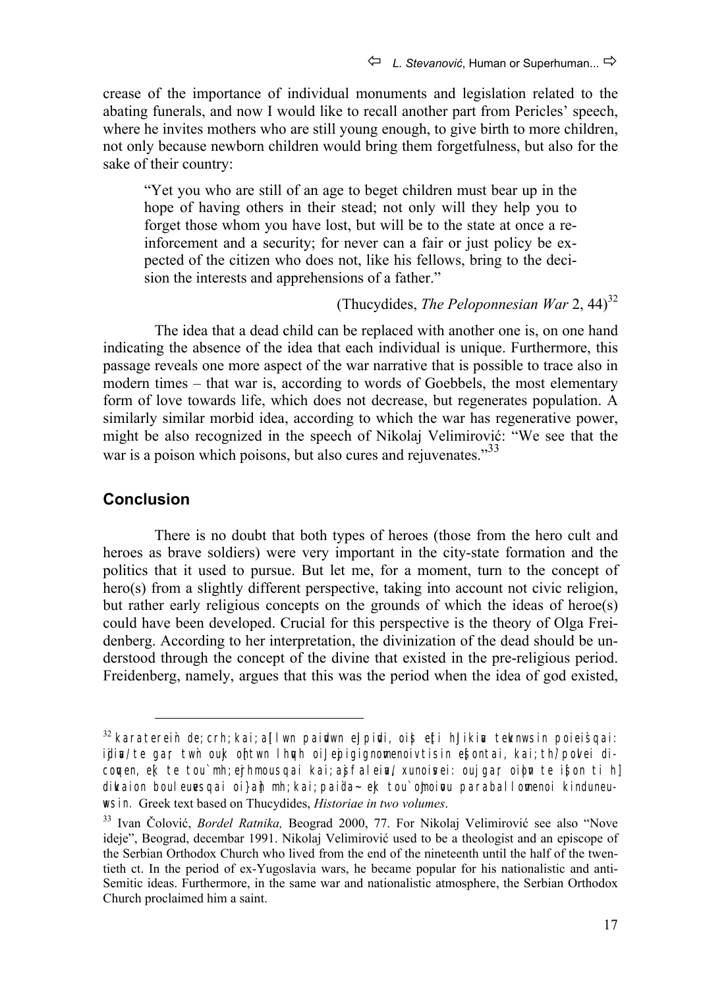crease of the importance of individual monuments and legislation related to the abating funerals, and now I would like to recall another part from Pericles' speech, where he invites mothers who are still young enough, to give birth to more children, not only because newborn children would bring them forgetfulness, but also for the sake of their country:

"Yet you who are still of an age to beget children must bear up in the hope of having others in their stead; not only will they help you to forget those whom you have lost, but will be to the state at once a reinforcement and a security; for never can a fair or just policy be expected of the citizen who does not, like his fellows, bring to the decision the interests and apprehensions of a father."

## (Thucydides, *The Peloponnesian War* 2, 44)<sup>32</sup>

The idea that a dead child can be replaced with another one is, on one hand indicating the absence of the idea that each individual is unique. Furthermore, this passage reveals one more aspect of the war narrative that is possible to trace also in modern times – that war is, according to words of Goebbels, the most elementary form of love towards life, which does not decrease, but regenerates population. A similarly similar morbid idea, according to which the war has regenerative power, might be also recognized in the speech of Nikolaj Velimirović: "We see that the war is a poison which poisons, but also cures and rejuvenates. $^{33}$ 

## **Conclusion**

There is no doubt that both types of heroes (those from the hero cult and heroes as brave soldiers) were very important in the city-state formation and the politics that it used to pursue. But let me, for a moment, turn to the concept of hero(s) from a slightly different perspective, taking into account not civic religion, but rather early religious concepts on the grounds of which the ideas of heroe(s) could have been developed. Crucial for this perspective is the theory of Olga Freidenberg. According to her interpretation, the divinization of the dead should be understood through the concept of the divine that existed in the pre-religious period. Freidenberg, namely, argues that this was the period when the idea of god existed,

 $32$  karaterein de; crh; kai; allwn paidwn elpidi, ois etti hJikin teknwsin poieisqai: idia/ te gar twh ouk ohtwn lhugh oil epigignomenoiv tisin esontai, kai; th' povlei dicomen, ek te tou mh; erhmousqai kai; asfalein/ xunoisei; ouj gar oibn te ison ti hl dikaion bouleuesqai oi} ah mh; kai; paida~ ek tou` omoipu paraballomenoi kinduneu**wsin.** Greek text based on Thucydides, *Historiae in two volumes*.

<sup>33</sup> Ivan Čolović, *Bordel Ratnika,* Beograd 2000, 77. For Nikolaj Velimirović see also "Nove ideje", Beograd, decembar 1991. Nikolaj Velimirović used to be a theologist and an episcope of the Serbian Orthodox Church who lived from the end of the nineteenth until the half of the twentieth ct. In the period of ex-Yugoslavia wars, he became popular for his nationalistic and anti-Semitic ideas. Furthermore, in the same war and nationalistic atmosphere, the Serbian Orthodox Church proclaimed him a saint.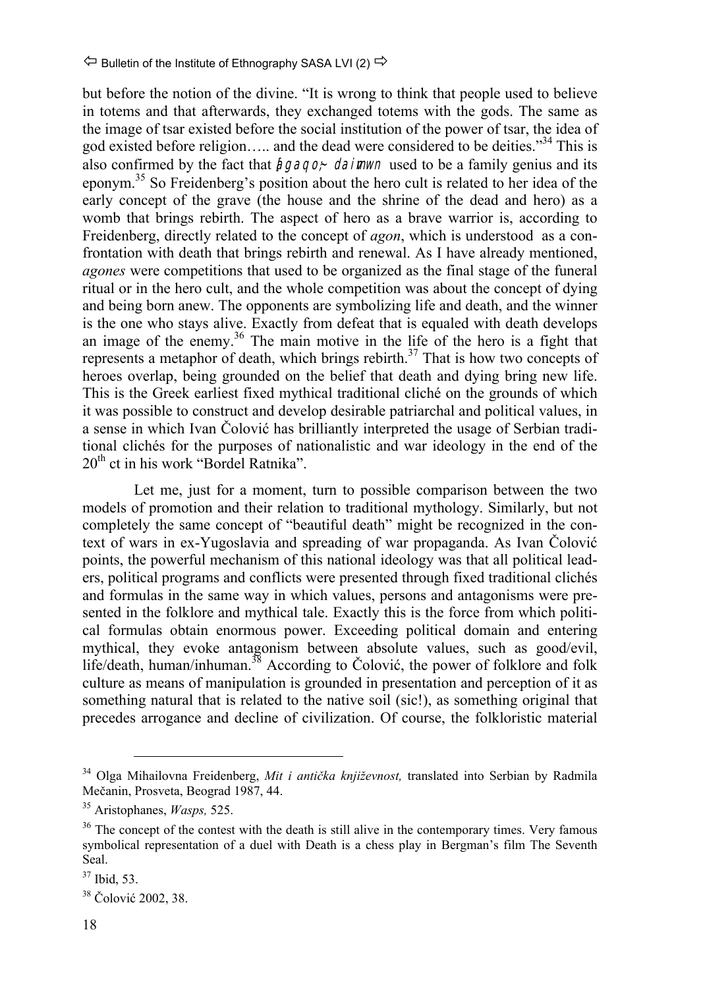but before the notion of the divine. "It is wrong to think that people used to believe in totems and that afterwards, they exchanged totems with the gods. The same as the image of tsar existed before the social institution of the power of tsar, the idea of god existed before religion….. and the dead were considered to be deities."34 This is also confirmed by the fact that  $\hat{h}g\hat{q}q\hat{o}$ ; daimwn used to be a family genius and its eponym.<sup>35</sup> So Freidenberg's position about the hero cult is related to her idea of the early concept of the grave (the house and the shrine of the dead and hero) as a womb that brings rebirth. The aspect of hero as a brave warrior is, according to Freidenberg, directly related to the concept of *agon*, which is understood as a confrontation with death that brings rebirth and renewal. As I have already mentioned, *agones* were competitions that used to be organized as the final stage of the funeral ritual or in the hero cult, and the whole competition was about the concept of dying and being born anew. The opponents are symbolizing life and death, and the winner is the one who stays alive. Exactly from defeat that is equaled with death develops an image of the enemy.<sup>36</sup> The main motive in the life of the hero is a fight that represents a metaphor of death, which brings rebirth.<sup>37</sup> That is how two concepts of heroes overlap, being grounded on the belief that death and dying bring new life. This is the Greek earliest fixed mythical traditional cliché on the grounds of which it was possible to construct and develop desirable patriarchal and political values, in a sense in which Ivan Čolović has brilliantly interpreted the usage of Serbian traditional clichés for the purposes of nationalistic and war ideology in the end of the  $20<sup>th</sup>$  ct in his work "Bordel Ratnika".

Let me, just for a moment, turn to possible comparison between the two models of promotion and their relation to traditional mythology. Similarly, but not completely the same concept of "beautiful death" might be recognized in the context of wars in ex-Yugoslavia and spreading of war propaganda. As Ivan Čolović points, the powerful mechanism of this national ideology was that all political leaders, political programs and conflicts were presented through fixed traditional clichés and formulas in the same way in which values, persons and antagonisms were presented in the folklore and mythical tale. Exactly this is the force from which political formulas obtain enormous power. Exceeding political domain and entering mythical, they evoke antagonism between absolute values, such as good/evil, life/death, human/inhuman. $^{38}$  According to Čolović, the power of folklore and folk culture as means of manipulation is grounded in presentation and perception of it as something natural that is related to the native soil (sic!), as something original that precedes arrogance and decline of civilization. Of course, the folkloristic material

 <sup>34</sup> Olga Mihailovna Freidenberg, *Mit i antička književnost,* translated into Serbian by Radmila Mečanin, Prosveta, Beograd 1987, 44.

<sup>35</sup> Aristophanes, *Wasps,* 525.

<sup>&</sup>lt;sup>36</sup> The concept of the contest with the death is still alive in the contemporary times. Very famous symbolical representation of a duel with Death is a chess play in Bergman's film The Seventh Seal.

<sup>37</sup> Ibid, 53.

<sup>38</sup> Čolović 2002, 38.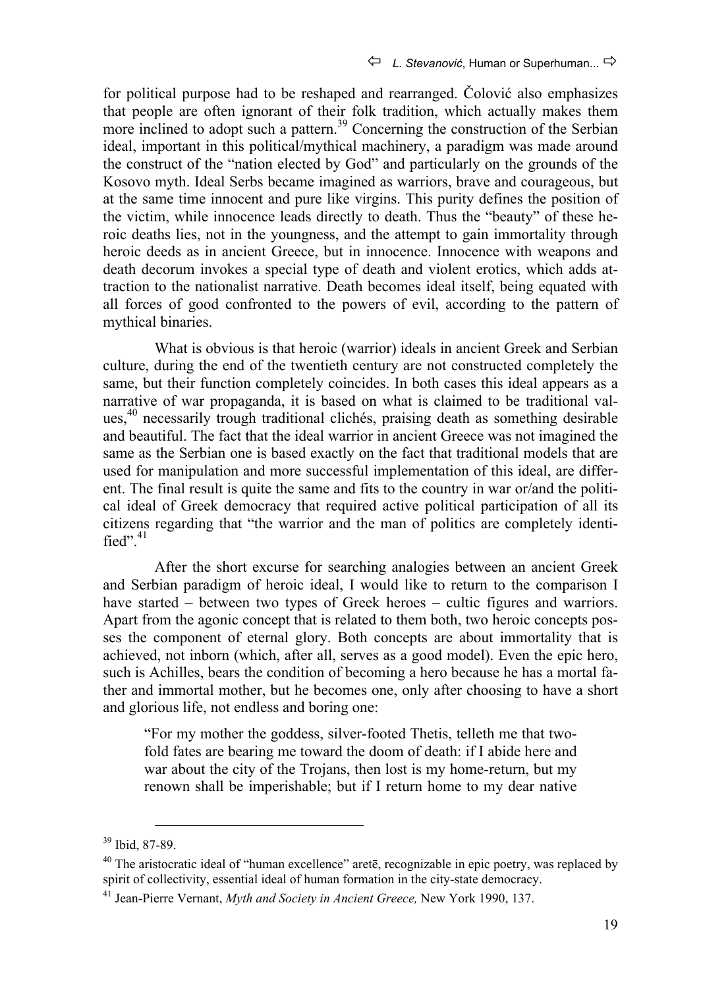for political purpose had to be reshaped and rearranged. Čolović also emphasizes that people are often ignorant of their folk tradition, which actually makes them more inclined to adopt such a pattern.<sup>39</sup> Concerning the construction of the Serbian ideal, important in this political/mythical machinery, a paradigm was made around the construct of the "nation elected by God" and particularly on the grounds of the Kosovo myth. Ideal Serbs became imagined as warriors, brave and courageous, but at the same time innocent and pure like virgins. This purity defines the position of the victim, while innocence leads directly to death. Thus the "beauty" of these heroic deaths lies, not in the youngness, and the attempt to gain immortality through heroic deeds as in ancient Greece, but in innocence. Innocence with weapons and death decorum invokes a special type of death and violent erotics, which adds attraction to the nationalist narrative. Death becomes ideal itself, being equated with all forces of good confronted to the powers of evil, according to the pattern of mythical binaries.

What is obvious is that heroic (warrior) ideals in ancient Greek and Serbian culture, during the end of the twentieth century are not constructed completely the same, but their function completely coincides. In both cases this ideal appears as a narrative of war propaganda, it is based on what is claimed to be traditional values, 40 necessarily trough traditional clichés, praising death as something desirable and beautiful. The fact that the ideal warrior in ancient Greece was not imagined the same as the Serbian one is based exactly on the fact that traditional models that are used for manipulation and more successful implementation of this ideal, are different. The final result is quite the same and fits to the country in war or/and the political ideal of Greek democracy that required active political participation of all its citizens regarding that "the warrior and the man of politics are completely identified". $41$ 

After the short excurse for searching analogies between an ancient Greek and Serbian paradigm of heroic ideal, I would like to return to the comparison I have started – between two types of Greek heroes – cultic figures and warriors. Apart from the agonic concept that is related to them both, two heroic concepts posses the component of eternal glory. Both concepts are about immortality that is achieved, not inborn (which, after all, serves as a good model). Even the epic hero, such is Achilles, bears the condition of becoming a hero because he has a mortal father and immortal mother, but he becomes one, only after choosing to have a short and glorious life, not endless and boring one:

"For my mother the goddess, silver-footed Thetis, telleth me that twofold fates are bearing me toward the doom of death: if I abide here and war about the city of the Trojans, then lost is my home-return, but my renown shall be imperishable; but if I return home to my dear native

 <sup>39</sup> Ibid, 87-89.

 $40$  The aristocratic ideal of "human excellence" arete, recognizable in epic poetry, was replaced by spirit of collectivity, essential ideal of human formation in the city-state democracy.

<sup>41</sup> Jean-Pierre Vernant, *Myth and Society in Ancient Greece,* New York 1990, 137.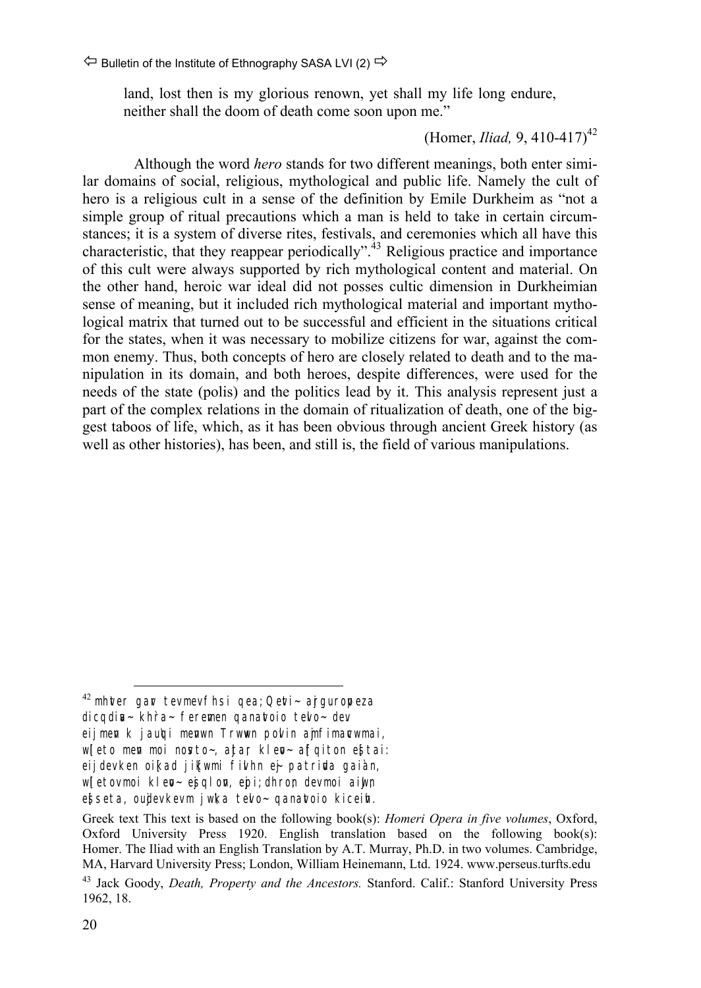land, lost then is my glorious renown, yet shall my life long endure, neither shall the doom of death come soon upon me."

#### (Homer, *Iliad,* 9, 410-417)<sup>42</sup>

Although the word *hero* stands for two different meanings, both enter similar domains of social, religious, mythological and public life. Namely the cult of hero is a religious cult in a sense of the definition by Emile Durkheim as "not a simple group of ritual precautions which a man is held to take in certain circumstances; it is a system of diverse rites, festivals, and ceremonies which all have this characteristic, that they reappear periodically".<sup>43</sup> Religious practice and importance of this cult were always supported by rich mythological content and material. On the other hand, heroic war ideal did not posses cultic dimension in Durkheimian sense of meaning, but it included rich mythological material and important mythological matrix that turned out to be successful and efficient in the situations critical for the states, when it was necessary to mobilize citizens for war, against the common enemy. Thus, both concepts of hero are closely related to death and to the manipulation in its domain, and both heroes, despite differences, were used for the needs of the state (polis) and the politics lead by it. This analysis represent just a part of the complex relations in the domain of ritualization of death, one of the biggest taboos of life, which, as it has been obvious through ancient Greek history (as well as other histories), has been, and still is, the field of various manipulations.

 $42$  mhter gar tev mev fhsi qea; Qeti- arguropeza dicqdia~ khra~ feremen qanatoio telo~ dev eij men k j au\qi menwn Trwwn polin ajmfimarwmai, wleto men moi nosto~, ajtar klep~ affqiton estai: eij dev ken oikad jikwmi filhn ei patrida gaian, wletov moi klep-esqlon, epi; dhron dev moi aiwn ebseta, oudev kev m j wka telo~ qanatoio kiceih.

Greek text This text is based on the following book(s): *Homeri Opera in five volumes*, Oxford, Oxford University Press 1920. English translation based on the following book(s): Homer. The Iliad with an English Translation by A.T. Murray, Ph.D. in two volumes. Cambridge, MA, Harvard University Press; London, William Heinemann, Ltd. 1924. www.perseus.turfts.edu

<sup>43</sup> Jack Goody, *Death, Property and the Ancestors.* Stanford. Calif.: Stanford University Press 1962, 18.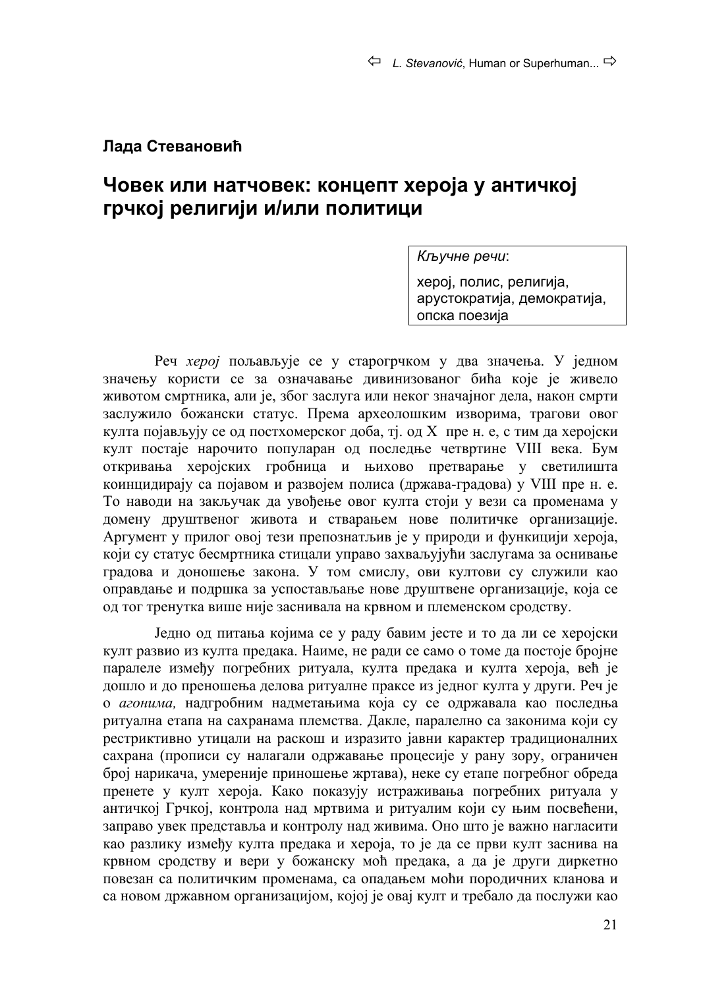#### **Лада Стевановић**

## **Човек или натчовек: концепт хероја у античкој грчкој религији и/или политици**

*Кључне речи*:

херој, полис, религија, арустократија, демократија, опска поезија

Реч *херој* пољављује се у старогрчком у два значења. У једном значењу користи се за означавање дивинизованог бића које је живело животом смртника, али је, због заслуга или неког значајног дела, након смрти заслужило божански статус. Према археолошким изворима, трагови овог култа појављују се од постхомерског доба, тј. од X пре н. е, с тим да херојски култ постаје нарочито популаран од последње четвртине VIII века. Бум откривања херојских гробница и њихово претварање у светилишта коинцидирају са појавом и развојем полиса (држава-градова) у VIII пре н. е. То наводи на закључак да увођење овог култа стоји у вези са променама у домену друштвеног живота и стварањем нове политичке организације. Аргумент у прилог овој тези препознатљив је у природи и функицији хероја, који су статус бесмртника стицали управо захваљујући заслугама за оснивање градова и доношење закона. У том смислу, ови култови су служили као оправдање и подршка за успостављање нове друштвене организације, која се од тог тренутка више није заснивала на крвном и племенском сродству.

Једно од питања којима се у раду бавим јесте и то да ли се херојски култ развио из култа предака. Наиме, не ради се само о томе да постоје бројне паралеле између погребних ритуала, култа предака и култа хероја, већ је дошло и до преношења делова ритуалне праксе из једног култа у други. Реч је о *агонима,* надгробним надметањима која су се одржавала као последња ритуална етапа на сахранама племства. Дакле, паралелно са законима који су рестриктивно утицали на раскош и изразито јавни карактер традиционалних сахрана (прописи су налагали одржавање процесије у рану зору, ограничен број нарикача, умереније приношење жртава), неке су етапе погребног обреда пренете у култ хероја. Како показују истраживања погребних ритуала у античкој Грчкој, контрола над мртвима и ритуалим који су њим посвећени, заправо увек представља и контролу над живима. Оно што је важно нагласити као разлику између култа предака и хероја, то је да се први култ заснива на крвном сродству и вери у божанску моћ предака, а да је други диркетно повезан са политичким променама, са опадањем моћи породичних кланова и са новом државном организацијом, којој је овај култ и требало да послужи као